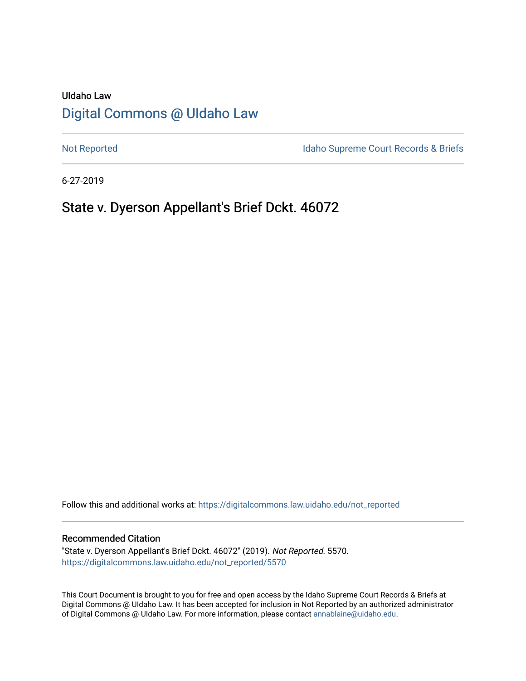# UIdaho Law [Digital Commons @ UIdaho Law](https://digitalcommons.law.uidaho.edu/)

[Not Reported](https://digitalcommons.law.uidaho.edu/not_reported) **Idaho Supreme Court Records & Briefs** 

6-27-2019

# State v. Dyerson Appellant's Brief Dckt. 46072

Follow this and additional works at: [https://digitalcommons.law.uidaho.edu/not\\_reported](https://digitalcommons.law.uidaho.edu/not_reported?utm_source=digitalcommons.law.uidaho.edu%2Fnot_reported%2F5570&utm_medium=PDF&utm_campaign=PDFCoverPages) 

#### Recommended Citation

"State v. Dyerson Appellant's Brief Dckt. 46072" (2019). Not Reported. 5570. [https://digitalcommons.law.uidaho.edu/not\\_reported/5570](https://digitalcommons.law.uidaho.edu/not_reported/5570?utm_source=digitalcommons.law.uidaho.edu%2Fnot_reported%2F5570&utm_medium=PDF&utm_campaign=PDFCoverPages)

This Court Document is brought to you for free and open access by the Idaho Supreme Court Records & Briefs at Digital Commons @ UIdaho Law. It has been accepted for inclusion in Not Reported by an authorized administrator of Digital Commons @ UIdaho Law. For more information, please contact [annablaine@uidaho.edu](mailto:annablaine@uidaho.edu).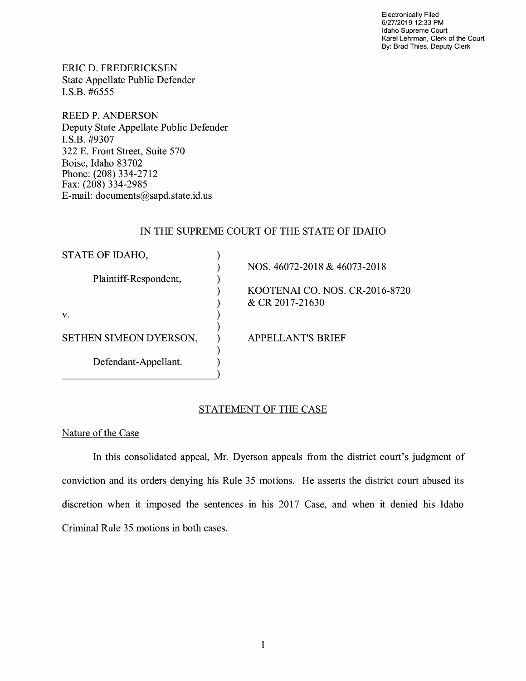Electronically Filed 6/27/2019 12:33 PM Idaho Supreme Court Karel Lehrman, Clerk of the Court By: Brad Thies, Deputy Clerk

ERIC D. FREDERICKSEN State Appellate Public Defender I.S.B. #6555

REED P. ANDERSON Deputy State Appellate Public Defender **I.S.B.** #9307 322 E. Front Street, Suite 570 Boise, Idaho 83702 Phone: (208) 334-2712 Fax: (208) 334-2985 E-mail: documents@sapd.state.id. us

## IN THE SUPREME COURT OF THE STATE OF IDAHO

| STATE OF IDAHO,        |                                |
|------------------------|--------------------------------|
|                        | NOS. 46072-2018 & 46073-2018   |
| Plaintiff-Respondent,  |                                |
|                        | KOOTENAI CO. NOS. CR-2016-8720 |
|                        | & CR 2017-21630                |
| V.                     |                                |
| SETHEN SIMEON DYERSON, | <b>APPELLANT'S BRIEF</b>       |
| Defendant-Appellant.   |                                |
|                        |                                |

## STATEMENT OF THE CASE

Nature of the Case

In this consolidated appeal, Mr. Dyerson appeals from the district court's judgment of conviction and its orders denying his Rule 35 motions. He asserts the district court abused its discretion when it imposed the sentences in his 2017 Case, and when it denied his Idaho Criminal Rule 35 motions in both cases.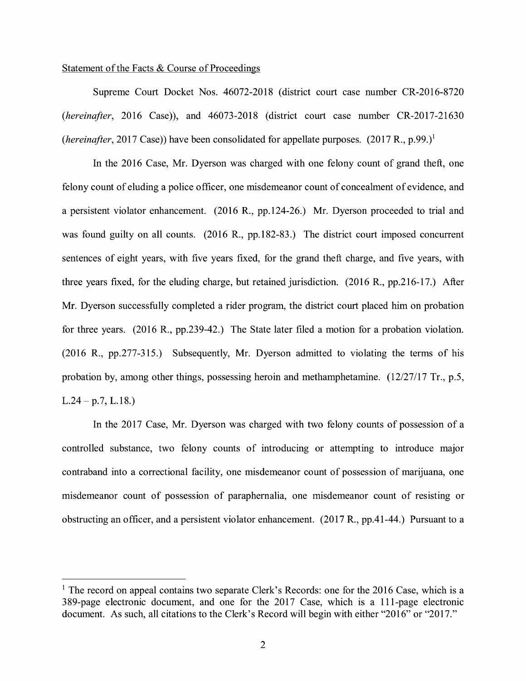### Statement of the Facts & Course of Proceedings

Supreme Court Docket Nos. 46072-2018 (district court case number CR-2016-8720 *(hereinafter,* 2016 Case)), and 46073-2018 (district court case number CR-2017-21630 *(hereinafter, 2017 Case))* have been consolidated for appellate purposes.  $(2017 R., p.99.)<sup>1</sup>$ 

In the 2016 Case, Mr. Dyerson was charged with one felony count of grand theft, one felony count of eluding a police officer, one misdemeanor count of concealment of evidence, and a persistent violator enhancement. (2016 R., pp.124-26.) Mr. Dyerson proceeded to trial and was found guilty on all counts. (2016 R., pp.182-83.) The district court imposed concurrent sentences of eight years, with five years fixed, for the grand theft charge, and five years, with three years fixed, for the eluding charge, but retained jurisdiction. (2016 R., pp.216-17.) After Mr. Dyerson successfully completed a rider program, the district court placed him on probation for three years. (2016 R., pp.239-42.) The State later filed a motion for a probation violation. (2016 R., pp.277-315.) Subsequently, Mr. Dyerson admitted to violating the terms of his probation by, among other things, possessing heroin and methamphetamine.  $(12/27/17 \text{ Tr.}, p.5,$  $L.24 - p.7, L.18.$ 

In the 2017 Case, Mr. Dyerson was charged with two felony counts of possession of a controlled substance, two felony counts of introducing or attempting to introduce major contraband into a correctional facility, one misdemeanor count of possession of marijuana, one misdemeanor count of possession of paraphernalia, one misdemeanor count of resisting or obstructing an officer, and a persistent violator enhancement. (2017 R., pp.41-44.) Pursuant to a

 $<sup>1</sup>$  The record on appeal contains two separate Clerk's Records: one for the 2016 Case, which is a</sup> 389-page electronic document, and one for the 2017 Case, which is a 111-page electronic document. As such, all citations to the Clerk's Record will begin with either "2016" or "2017."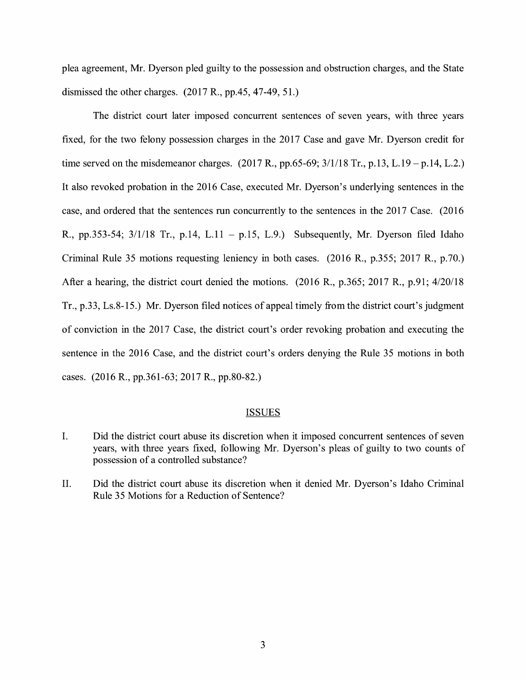plea agreement, Mr. Dyerson pled guilty to the possession and obstruction charges, and the State dismissed the other charges. (2017 R., pp.45, 47-49, 51.)

The district court later imposed concurrent sentences of seven years, with three years fixed, for the two felony possession charges in the 2017 Case and gave Mr. Dyerson credit for time served on the misdemeanor charges.  $(2017 \text{ R}., \text{pp.65-69}; \frac{3}{118} \text{ Tr}, \text{p.13}, L.19 - \text{p.14}, L.2.)$ It also revoked probation in the 2016 Case, executed Mr. Dyerson's underlying sentences in the case, and ordered that the sentences run concurrently to the sentences in the 2017 Case. (2016) R., pp.353-54;  $3/1/18$  Tr., p.14, L.11 - p.15, L.9.) Subsequently, Mr. Dyerson filed Idaho Criminal Rule 35 motions requesting leniency in both cases. (2016 R., p.355; 2017 R., p.70.) After a hearing, the district court denied the motions. (2016 R., p.365; 2017 R., p.91; 4/20/18 Tr., p.33, Ls.8-15.) Mr. Dyerson filed notices of appeal timely from the district court's judgment of conviction in the 2017 Case, the district court's order revoking probation and executing the sentence in the 2016 Case, and the district court's orders denying the Rule 35 motions in both cases. (2016 R., pp.361-63; 2017 R., pp.80-82.)

#### ISSUES

- I. Did the district court abuse its discretion when it imposed concurrent sentences of seven years, with three years fixed, following Mr. Dyerson's pleas of guilty to two counts of possession of a controlled substance?
- II. Did the district court abuse its discretion when it denied Mr. Dyerson's Idaho Criminal Rule 35 Motions for a Reduction of Sentence?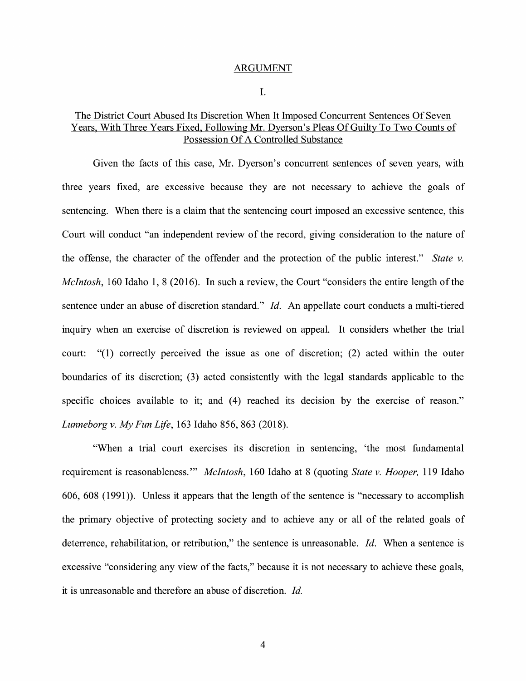#### ARGUMENT

I.

## The District Court Abused Its Discretion When It Imposed Concurrent Sentences Of Seven Years, With Three Years Fixed, Following Mr. Dyerson's Pleas Of Guilty To Two Counts of Possession Of A Controlled Substance

Given the facts of this case, Mr. Dyerson's concurrent sentences of seven years, with three years fixed, are excessive because they are not necessary to achieve the goals of sentencing. When there is a claim that the sentencing court imposed an excessive sentence, this Court will conduct "an independent review of the record, giving consideration to the nature of the offense, the character of the offender and the protection of the public interest." *State v. McIntosh,* 160 Idaho 1, 8 (2016). In such a review, the Court "considers the entire length of the sentence under an abuse of discretion standard." *Id.* An appellate court conducts a multi-tiered inquiry when an exercise of discretion is reviewed on appeal. It considers whether the trial court: "(1) correctly perceived the issue as one of discretion; (2) acted within the outer boundaries of its discretion; (3) acted consistently with the legal standards applicable to the specific choices available to it; and  $(4)$  reached its decision by the exercise of reason." *Lunneborg v. My Fun Life,* 163 Idaho 856, 863 (2018).

"When a trial court exercises its discretion in sentencing, 'the most fundamental requirement is reasonableness."' *McIntosh,* 160 Idaho at 8 ( quoting *State v. Hooper,* 119 Idaho 606, 608 (1991)). Unless it appears that the length of the sentence is "necessary to accomplish the primary objective of protecting society and to achieve any or all of the related goals of deterrence, rehabilitation, or retribution," the sentence is unreasonable. *Id.* When a sentence is excessive "considering any view of the facts," because it is not necessary to achieve these goals, it is unreasonable and therefore an abuse of discretion. *Id.*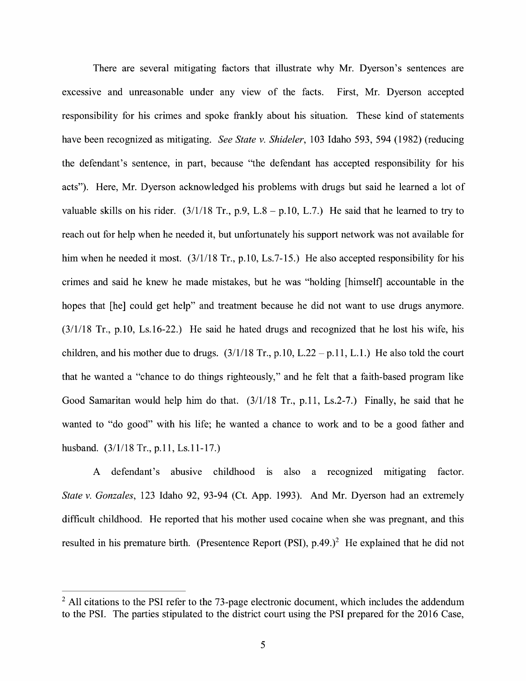There are several mitigating factors that illustrate why Mr. Dyerson's sentences are excessive and unreasonable under any view of the facts. First, Mr. Dyerson accepted responsibility for his crimes and spoke frankly about his situation. These kind of statements have been recognized as mitigating. *See State v. Shideler,* 103 Idaho 593, 594 (1982) (reducing the defendant's sentence, in part, because "the defendant has accepted responsibility for his acts"). Here, Mr. Dyerson acknowledged his problems with drugs but said he learned a lot of valuable skills on his rider.  $(3/1/18 \text{ Tr.}, p.9, L.8 - p.10, L.7.)$  He said that he learned to try to reach out for help when he needed it, but unfortunately his support network was not available for him when he needed it most.  $(3/1/18 \text{ Tr}$ , p.10, Ls.7-15.) He also accepted responsibility for his crimes and said he knew he made mistakes, but he was "holding [himself] accountable in the hopes that [he] could get help" and treatment because he did not want to use drugs anymore. (3/1/18 Tr., p.10, Ls.16-22.) He said he hated drugs and recognized that he lost his wife, his children, and his mother due to drugs.  $(3/1/18 \text{ Tr}., p.10, L.22 - p.11, L.1)$  He also told the court that he wanted a "chance to do things righteously," and he felt that a faith-based program like Good Samaritan would help him do that. (3/1/18 Tr., p.11, Ls.2-7.) Finally, he said that he wanted to "do good" with his life; he wanted a chance to work and to be a good father and husband. (3/1/18 Tr., p.11, Ls.11-17.)

A defendant's abusive childhood 1s also a recognized mitigating factor. *State v. Gonzales,* 123 Idaho 92, 93-94 (Ct. App. 1993). And Mr. Dyerson had an extremely difficult childhood. He reported that his mother used cocaine when she was pregnant, and this resulted in his premature birth. (Presentence Report (PSI),  $p.49.$ )<sup>2</sup> He explained that he did not

 $2$  All citations to the PSI refer to the 73-page electronic document, which includes the addendum to the PSI. The parties stipulated to the district court using the PSI prepared for the 2016 Case,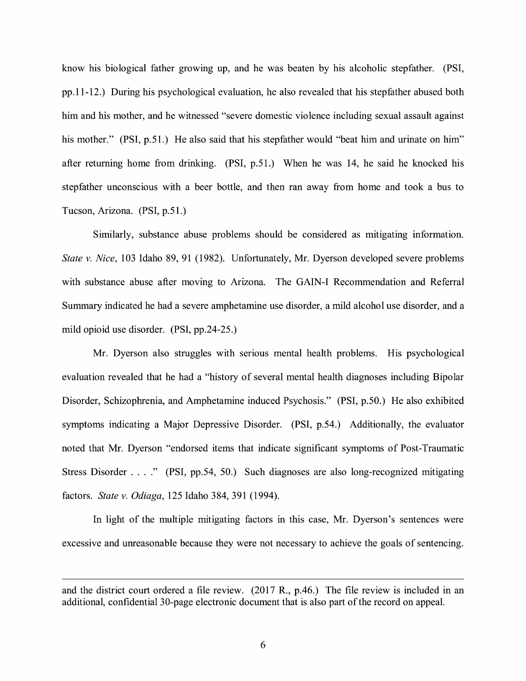know his biological father growing up, and he was beaten by his alcoholic stepfather. (PSI, pp.11-12.) During his psychological evaluation, he also revealed that his stepfather abused both him and his mother, and he witnessed "severe domestic violence including sexual assault against his mother." (PSI, p.51.) He also said that his stepfather would "beat him and urinate on him" after returning home from drinking. (PSI, p.51.) When he was 14, he said he knocked his stepfather unconscious with a beer bottle, and then ran away from home and took a bus to Tucson, Arizona. (PSI, p.51.)

Similarly, substance abuse problems should be considered as mitigating information. *State v. Nice,* 103 Idaho 89, 91 (1982). Unfortunately, Mr. Dyerson developed severe problems with substance abuse after moving to Arizona. The GAIN-I Recommendation and Referral Summary indicated he had a severe amphetamine use disorder, a mild alcohol use disorder, and a mild opioid use disorder. (PSI, pp.24-25.)

Mr. Dyerson also struggles with serious mental health problems. His psychological evaluation revealed that he had a "history of several mental health diagnoses including Bipolar Disorder, Schizophrenia, and Amphetamine induced Psychosis." (PSI, p.50.) He also exhibited symptoms indicating a Major Depressive Disorder. (PSI, p.54.) Additionally, the evaluator noted that Mr. Dyerson "endorsed items that indicate significant symptoms of Post-Traumatic Stress Disorder .... " (PSI, pp.54, 50.) Such diagnoses are also long-recognized mitigating factors. *State v. Odiaga,* 125 Idaho 384, 391 (1994).

In light of the multiple mitigating factors in this case, Mr. Dyerson's sentences were excessive and unreasonable because they were not necessary to achieve the goals of sentencing.

and the district court ordered a file review. (2017 R., p.46.) The file review is included in an additional, confidential 30-page electronic document that is also part of the record on appeal.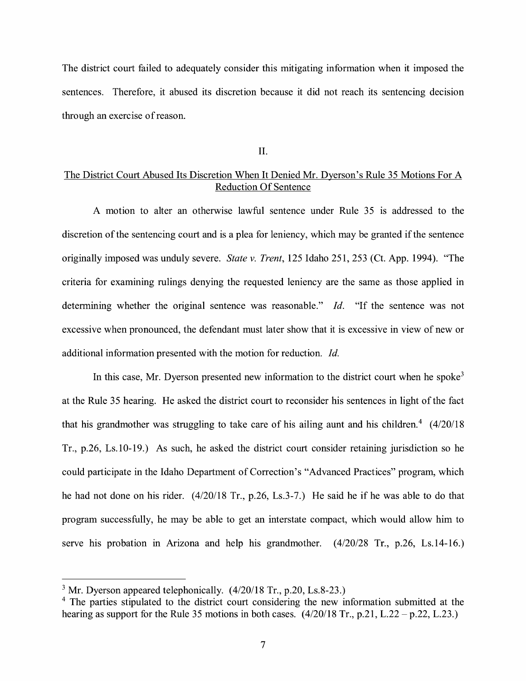The district court failed to adequately consider this mitigating information when it imposed the sentences. Therefore, it abused its discretion because it did not reach its sentencing decision through an exercise of reason.

II.

## The District Court Abused Its Discretion When It Denied Mr. Dyerson's Rule 35 Motions For A Reduction Of Sentence

A motion to alter an otherwise lawful sentence under Rule 35 is addressed to the discretion of the sentencing court and is a plea for leniency, which may be granted if the sentence originally imposed was unduly severe. *State v. Trent,* 125 Idaho 251, 253 (Ct. App. 1994). "The criteria for examining rulings denying the requested leniency are the same as those applied in determining whether the original sentence was reasonable." *Id.* "If the sentence was not excessive when pronounced, the defendant must later show that it is excessive in view of new or additional information presented with the motion for reduction. *Id.* 

In this case, Mr. Dyerson presented new information to the district court when he spoke<sup>3</sup> at the Rule 35 hearing. He asked the district court to reconsider his sentences in light of the fact that his grandmother was struggling to take care of his ailing aunt and his children.<sup>4</sup>  $(4/20/18$ Tr., p.26, Ls.10-19.) As such, he asked the district court consider retaining jurisdiction so he could participate in the Idaho Department of Correction's "Advanced Practices" program, which he had not done on his rider. (4/20/18 Tr., p.26, Ls.3-7.) He said he if he was able to do that program successfully, he may be able to get an interstate compact, which would allow him to serve his probation in Arizona and help his grandmother. (4/20/28 Tr., p.26, Ls.14-16.)

<sup>&</sup>lt;sup>3</sup> Mr. Dyerson appeared telephonically.  $(4/20/18$  Tr., p.20, Ls.8-23.)

<sup>&</sup>lt;sup>4</sup> The parties stipulated to the district court considering the new information submitted at the hearing as support for the Rule 35 motions in both cases.  $(4/20/18$  Tr., p.21, L.22 – p.22, L.23.)